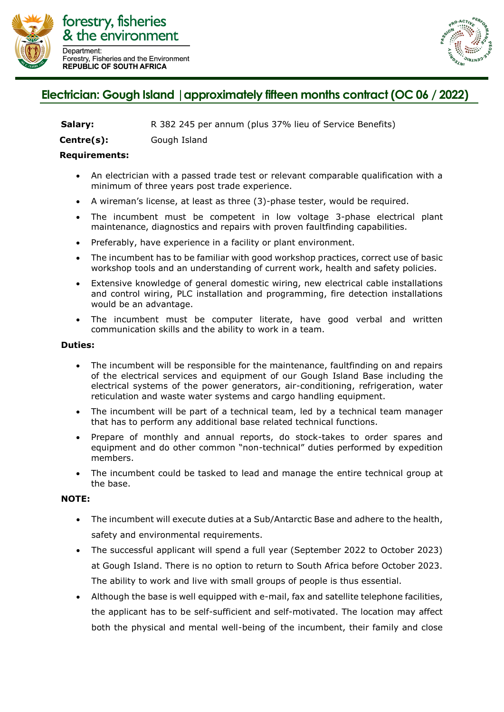



## Electrician: Gough Island | approximately fifteen months contract (OC 06 / 2022)

**Centre(s):** Gough Island

## **Requirements:**

- An electrician with a passed trade test or relevant comparable qualification with a minimum of three years post trade experience.
- A wireman's license, at least as three (3)-phase tester, would be required.
- The incumbent must be competent in low voltage 3-phase electrical plant maintenance, diagnostics and repairs with proven faultfinding capabilities.
- Preferably, have experience in a facility or plant environment.
- The incumbent has to be familiar with good workshop practices, correct use of basic workshop tools and an understanding of current work, health and safety policies.
- Extensive knowledge of general domestic wiring, new electrical cable installations and control wiring, PLC installation and programming, fire detection installations would be an advantage.
- The incumbent must be computer literate, have good verbal and written communication skills and the ability to work in a team.

## **Duties:**

- The incumbent will be responsible for the maintenance, faultfinding on and repairs of the electrical services and equipment of our Gough Island Base including the electrical systems of the power generators, air-conditioning, refrigeration, water reticulation and waste water systems and cargo handling equipment.
- The incumbent will be part of a technical team, led by a technical team manager that has to perform any additional base related technical functions.
- Prepare of monthly and annual reports, do stock-takes to order spares and equipment and do other common "non-technical" duties performed by expedition members.
- The incumbent could be tasked to lead and manage the entire technical group at the base.

## **NOTE:**

- The incumbent will execute duties at a Sub/Antarctic Base and adhere to the health, safety and environmental requirements.
- The successful applicant will spend a full year (September 2022 to October 2023) at Gough Island. There is no option to return to South Africa before October 2023. The ability to work and live with small groups of people is thus essential.
- Although the base is well equipped with e-mail, fax and satellite telephone facilities, the applicant has to be self-sufficient and self-motivated. The location may affect both the physical and mental well-being of the incumbent, their family and close